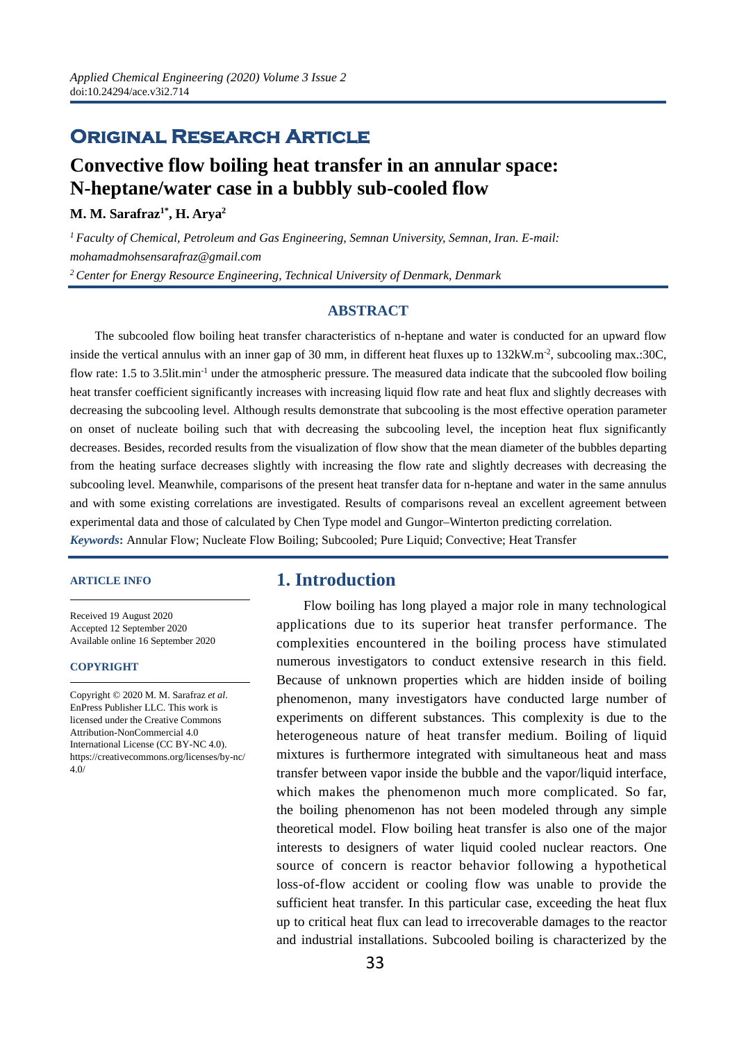# **Original Research Article**

# **Convective flow boiling heat transfer in an annular space: N-heptane/water case in a bubbly sub-cooled flow**

**M. M. Sarafraz1\* , H. Arya2**

*1 Faculty of Chemical, Petroleum and Gas Engineering, Semnan University, Semnan, Iran. E-mail: mohamadmohsensarafraz@gmail.com 2 Center for Energy Resource Engineering, Technical University of Denmark, Denmark*

#### **ABSTRACT**

The subcooled flow boiling heat transfer characteristics of n-heptane and water is conducted for an upward flow inside the vertical annulus with an inner gap of 30 mm, in different heat fluxes up to 132kW.m<sup>-2</sup>, subcooling max.:30C, flow rate: 1.5 to 3.5lit.min-1 under the atmospheric pressure. The measured data indicate that the subcooled flow boiling heat transfer coefficient significantly increases with increasing liquid flow rate and heat flux and slightly decreases with decreasing the subcooling level. Although results demonstrate that subcooling is the most effective operation parameter on onset of nucleate boiling such that with decreasing the subcooling level, the inception heat flux significantly decreases. Besides, recorded results from the visualization of flow show that the mean diameter of the bubbles departing from the heating surface decreases slightly with increasing the flow rate and slightly decreases with decreasing the subcooling level. Meanwhile, comparisons of the present heat transfer data for n-heptane and water in the same annulus and with some existing correlations are investigated. Results of comparisons reveal an excellent agreement between experimental data and those of calculated by Chen Type model and Gungor–Winterton predicting correlation. *Keywords***:** Annular Flow; Nucleate Flow Boiling; Subcooled; Pure Liquid; Convective; Heat Transfer

#### **ARTICLE INFO**

Received 19 August 2020 Accepted 12 September 2020 Available online 16 September 2020

#### **COPYRIGHT**

Copyright © 2020 M. M. Sarafraz *et al*. EnPress Publisher LLC. This work is licensed under the Creative Commons Attribution-NonCommercial 4.0 International License (CC BY-NC 4.0). https://creativecommons.org/licenses/by-nc/ 4.0/

# **1. Introduction**

Flow boiling has long played a major role in many technological applications due to its superior heat transfer performance. The complexities encountered in the boiling process have stimulated numerous investigators to conduct extensive research in this field. Because of unknown properties which are hidden inside of boiling phenomenon, many investigators have conducted large number of experiments on different substances. This complexity is due to the heterogeneous nature of heat transfer medium. Boiling of liquid mixtures is furthermore integrated with simultaneous heat and mass transfer between vapor inside the bubble and the vapor/liquid interface, which makes the phenomenon much more complicated. So far, the boiling phenomenon has not been modeled through any simple theoretical model. Flow boiling heat transfer is also one of the major interests to designers of water liquid cooled nuclear reactors. One source of concern is reactor behavior following a hypothetical loss-of-flow accident or cooling flow was unable to provide the sufficient heat transfer. In this particular case, exceeding the heat flux up to critical heat flux can lead to irrecoverable damages to the reactor and industrial installations. Subcooled boiling is characterized by the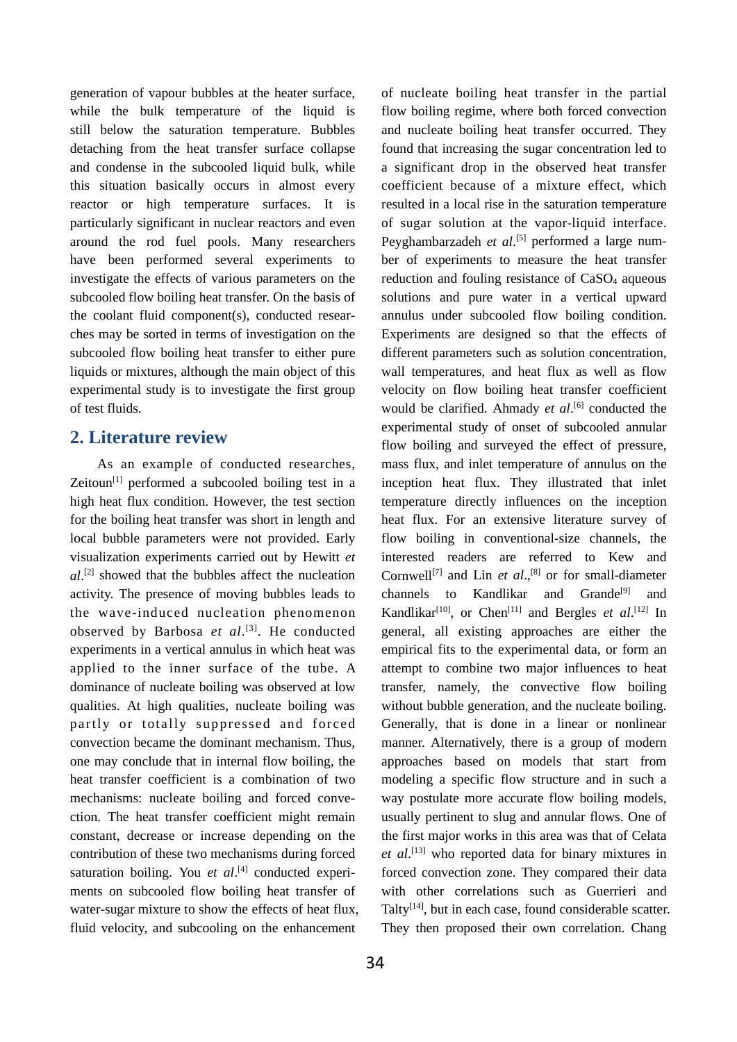generation of vapour bubbles at the heater surface, while the bulk temperature of the liquid is still below the saturation temperature. Bubbles detaching from the heat transfer surface collapse and condense in the subcooled liquid bulk, while this situation basically occurs in almost every reactor or high temperature surfaces. It is particularly significant in nuclear reactors and even around the rod fuel pools. Many researchers have been performed several experiments to investigate the effects of various parameters on the subcooled flow boiling heat transfer. On the basis of the coolant fluid component(s), conducted researches may be sorted in terms of investigation on the subcooled flow boiling heat transfer to either pure liquids or mixtures, although the main object of this experimental study is to investigate the first group of test fluids.

# **2. Literature review**

As an example of conducted researches, Zeitoun $[1]$  performed a subcooled boiling test in a high heat flux condition. However, the test section for the boiling heat transfer was short in length and local bubble parameters were not provided. Early visualization experiments carried out by Hewitt *et al*. [2] showed that the bubbles affect the nucleation activity. The presence of moving bubbles leads to the wave-induced nucleation phenomenon observed by Barbosa *et al*. [3]. He conducted experiments in a vertical annulus in which heat was applied to the inner surface of the tube. A dominance of nucleate boiling was observed at low qualities. At high qualities, nucleate boiling was partly or totally suppressed and forced convection became the dominant mechanism. Thus, one may conclude that in internal flow boiling, the heat transfer coefficient is a combination of two mechanisms: nucleate boiling and forced convection. The heat transfer coefficient might remain constant, decrease or increase depending on the contribution of these two mechanisms during forced saturation boiling. You et al.<sup>[4]</sup> conducted experiments on subcooled flow boiling heat transfer of water-sugar mixture to show the effects of heat flux, fluid velocity, and subcooling on the enhancement

of nucleate boiling heat transfer in the partial flow boiling regime, where both forced convection and nucleate boiling heat transfer occurred. They found that increasing the sugar concentration led to a significant drop in the observed heat transfer coefficient because of a mixture effect, which resulted in a local rise in the saturation temperature of sugar solution at the vapor-liquid interface. Peyghambarzadeh *et al*.<sup>[5]</sup> performed a large number of experiments to measure the heat transfer reduction and fouling resistance of CaSO<sub>4</sub> aqueous solutions and pure water in a vertical upward annulus under subcooled flow boiling condition. Experiments are designed so that the effects of different parameters such as solution concentration, wall temperatures, and heat flux as well as flow velocity on flow boiling heat transfer coefficient would be clarified. Ahmady *et al*. [6] conducted the experimental study of onset of subcooled annular flow boiling and surveyed the effect of pressure, mass flux, and inlet temperature of annulus on the inception heat flux. They illustrated that inlet temperature directly influences on the inception heat flux. For an extensive literature survey of flow boiling in conventional-size channels, the interested readers are referred to Kew and Cornwell<sup>[7]</sup> and Lin *et al.*,<sup>[8]</sup> or for small-diameter channels to Kandlikar and Grande<sup>[9]</sup> and Kandlikar<sup>[10]</sup>, or Chen<sup>[11]</sup> and Bergles *et al*.<sup>[12]</sup> In general, all existing approaches are either the empirical fits to the experimental data, or form an attempt to combine two major influences to heat transfer, namely, the convective flow boiling without bubble generation, and the nucleate boiling. Generally, that is done in a linear or nonlinear manner. Alternatively, there is a group of modern approaches based on models that start from modeling a specific flow structure and in such a way postulate more accurate flow boiling models, usually pertinent to slug and annular flows. One of the first major works in this area was that of Celata *et al*. [13] who reported data for binary mixtures in forced convection zone. They compared their data with other correlations such as Guerrieri and Talty<sup>[14]</sup>, but in each case, found considerable scatter. They then proposed their own correlation. Chang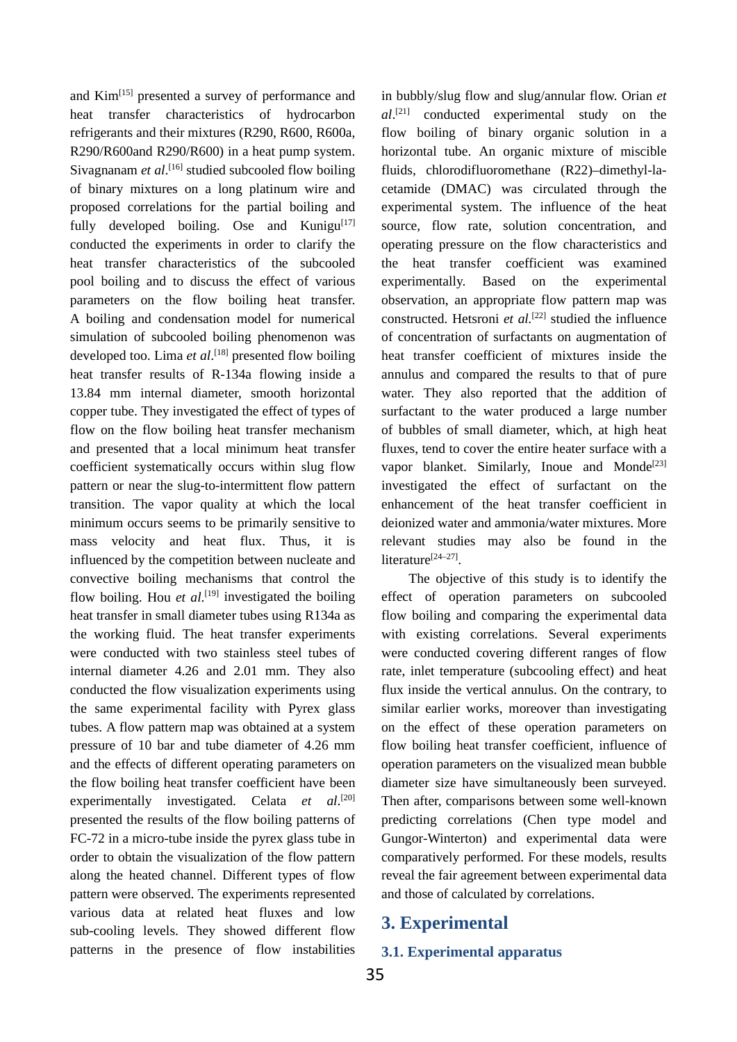and Kim<sup>[15]</sup> presented a survey of performance and heat transfer characteristics of hydrocarbon refrigerants and their mixtures (R290, R600, R600a, R290/R600and R290/R600) in a heat pump system. Sivagnanam *et al*.<sup>[16]</sup> studied subcooled flow boiling of binary mixtures on a long platinum wire and proposed correlations for the partial boiling and fully developed boiling. Ose and Kunigu $[17]$ conducted the experiments in order to clarify the heat transfer characteristics of the subcooled pool boiling and to discuss the effect of various parameters on the flow boiling heat transfer. A boiling and condensation model for numerical simulation of subcooled boiling phenomenon was developed too. Lima *et al*. [18] presented flow boiling heat transfer results of R-134a flowing inside a 13.84 mm internal diameter, smooth horizontal copper tube. They investigated the effect of types of flow on the flow boiling heat transfer mechanism and presented that a local minimum heat transfer coefficient systematically occurs within slug flow pattern or near the slug-to-intermittent flow pattern transition. The vapor quality at which the local minimum occurs seems to be primarily sensitive to mass velocity and heat flux. Thus, it is influenced by the competition between nucleate and convective boiling mechanisms that control the flow boiling. Hou *et al*.<sup>[19]</sup> investigated the boiling heat transfer in small diameter tubes using R134a as the working fluid. The heat transfer experiments were conducted with two stainless steel tubes of internal diameter 4.26 and 2.01 mm. They also conducted the flow visualization experiments using the same experimental facility with Pyrex glass tubes. A flow pattern map was obtained at a system pressure of 10 bar and tube diameter of 4.26 mm and the effects of different operating parameters on the flow boiling heat transfer coefficient have been experimentally investigated. Celata et al.<sup>[20]</sup> presented the results of the flow boiling patterns of FC-72 in a micro-tube inside the pyrex glass tube in order to obtain the visualization of the flow pattern along the heated channel. Different types of flow pattern were observed. The experiments represented various data at related heat fluxes and low sub-cooling levels. They showed different flow patterns in the presence of flow instabilities

in bubbly/slug flow and slug/annular flow. Orian *et al*. [21] conducted experimental study on the flow boiling of binary organic solution in a horizontal tube. An organic mixture of miscible fluids, chlorodifluoromethane (R22)–dimethyl-lacetamide (DMAC) was circulated through the experimental system. The influence of the heat source, flow rate, solution concentration, and operating pressure on the flow characteristics and the heat transfer coefficient was examined experimentally. Based on the experimental observation, an appropriate flow pattern map was constructed. Hetsroni *et al.* [22] studied the influence of concentration of surfactants on augmentation of heat transfer coefficient of mixtures inside the annulus and compared the results to that of pure water. They also reported that the addition of surfactant to the water produced a large number of bubbles of small diameter, which, at high heat fluxes, tend to cover the entire heater surface with a vapor blanket. Similarly, Inoue and Monde<sup>[23]</sup> investigated the effect of surfactant on the enhancement of the heat transfer coefficient in deionized water and ammonia/water mixtures. More relevant studies may also be found in the literature<sup>[24–27]</sup>.

The objective of this study is to identify the effect of operation parameters on subcooled flow boiling and comparing the experimental data with existing correlations. Several experiments were conducted covering different ranges of flow rate, inlet temperature (subcooling effect) and heat flux inside the vertical annulus. On the contrary, to similar earlier works, moreover than investigating on the effect of these operation parameters on flow boiling heat transfer coefficient, influence of operation parameters on the visualized mean bubble diameter size have simultaneously been surveyed. Then after, comparisons between some well-known predicting correlations (Chen type model and Gungor-Winterton) and experimental data were comparatively performed. For these models, results reveal the fair agreement between experimental data and those of calculated by correlations.

# **3. Experimental**

### **3.1. Experimental apparatus**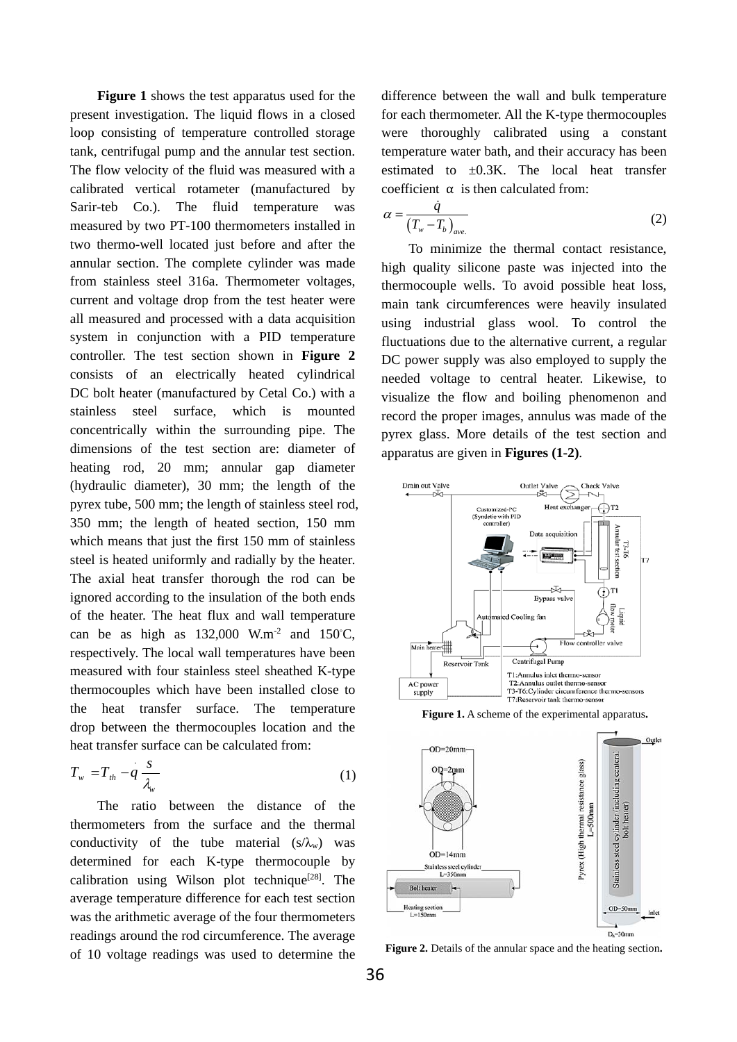**Figure 1** shows the test apparatus used for the present investigation. The liquid flows in a closed loop consisting of temperature controlled storage tank, centrifugal pump and the annular test section. The flow velocity of the fluid was measured with a calibrated vertical rotameter (manufactured by Sarir-teb Co.). The fluid temperature was measured by two PT-100 thermometers installed in two thermo-well located just before and after the annular section. The complete cylinder was made from stainless steel 316a. Thermometer voltages, current and voltage drop from the test heater were all measured and processed with a data acquisition system in conjunction with a PID temperature controller. The test section shown in **Figure 2** consists of an electrically heated cylindrical DC bolt heater (manufactured by Cetal Co.) with a stainless steel surface, which is mounted concentrically within the surrounding pipe. The dimensions of the test section are: diameter of heating rod, 20 mm; annular gap diameter (hydraulic diameter), 30 mm; the length of the pyrex tube, 500 mm; the length of stainless steel rod, 350 mm; the length of heated section, 150 mm which means that just the first 150 mm of stainless steel is heated uniformly and radially by the heater. The axial heat transfer thorough the rod can be ignored according to the insulation of the both ends of the heater. The heat flux and wall temperature can be as high as  $132,000$  W.m<sup>-2</sup> and  $150^{\circ}$ C, respectively. The local wall temperatures have been measured with four stainless steel sheathed K-type thermocouples which have been installed close to the heat transfer surface. The temperature drop between the thermocouples location and the heat transfer surface can be calculated from:

$$
T_w = T_{th} - q \frac{s}{\lambda_w} \tag{1}
$$

The ratio between the distance of the thermometers from the surface and the thermal conductivity of the tube material  $(s/\lambda_w)$  was determined for each K-type thermocouple by calibration using Wilson plot technique<sup>[28]</sup>. The average temperature difference for each test section was the arithmetic average of the four thermometers readings around the rod circumference. The average of 10 voltage readings was used to determine the difference between the wall and bulk temperature for each thermometer. All the K-type thermocouples were thoroughly calibrated using a constant temperature water bath, and their accuracy has been estimated to  $\pm 0.3$ K. The local heat transfer coefficient  $\alpha$  is then calculated from:

$$
\alpha = \frac{\dot{q}}{(T_{w} - T_{b})_{ave.}}\tag{2}
$$

To minimize the thermal contact resistance, high quality silicone paste was injected into the thermocouple wells. To avoid possible heat loss, main tank circumferences were heavily insulated using industrial glass wool. To control the fluctuations due to the alternative current, a regular DC power supply was also employed to supply the needed voltage to central heater. Likewise, to visualize the flow and boiling phenomenon and record the proper images, annulus was made of the pyrex glass. More details of the test section and apparatus are given in **Figures (1-2)**.



**Figure 1.** A scheme of the experimental apparatus**.**



**Figure 2.** Details of the annular space and the heating section**.**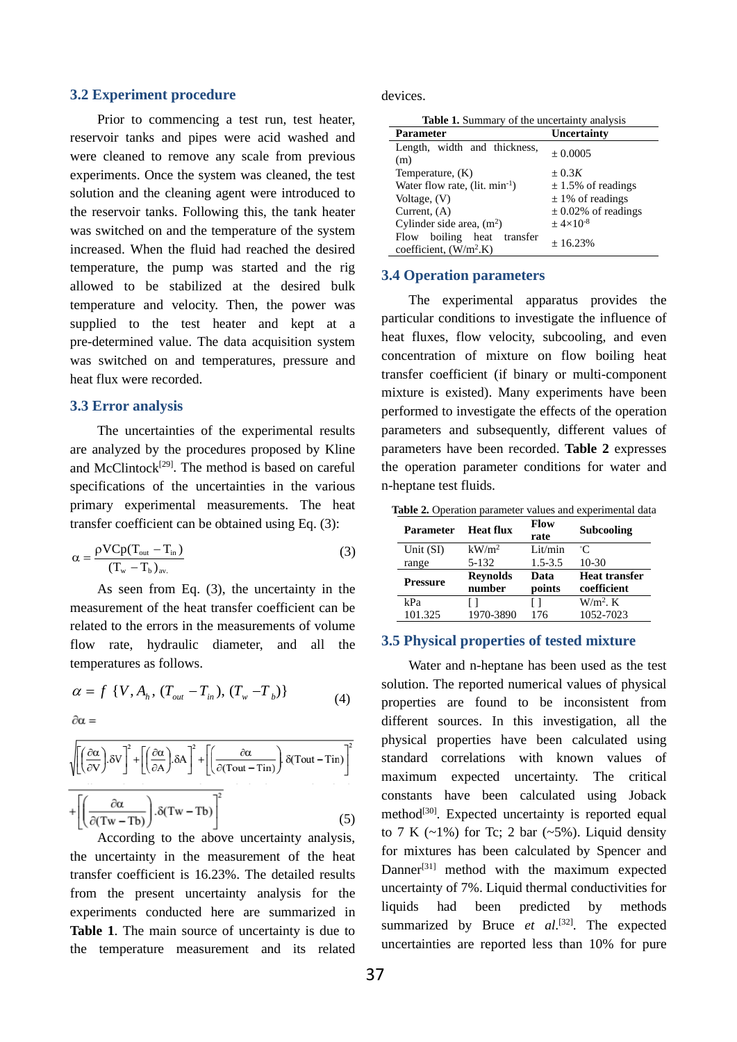#### **3.2 Experiment procedure**

Prior to commencing a test run, test heater, reservoir tanks and pipes were acid washed and were cleaned to remove any scale from previous experiments. Once the system was cleaned, the test solution and the cleaning agent were introduced to the reservoir tanks. Following this, the tank heater was switched on and the temperature of the system increased. When the fluid had reached the desired temperature, the pump was started and the rig allowed to be stabilized at the desired bulk temperature and velocity. Then, the power was supplied to the test heater and kept at a pre-determined value. The data acquisition system was switched on and temperatures, pressure and heat flux were recorded.

#### **3.3 Error analysis**

The uncertainties of the experimental results are analyzed by the procedures proposed by Kline and McClintock<sup>[29]</sup>. The method is based on careful specifications of the uncertainties in the various primary experimental measurements. The heat transfer coefficient can be obtained using Eq. (3):

$$
\alpha = \frac{\rho V C p (T_{\text{out}} - T_{\text{in}})}{(T_{\text{w}} - T_{\text{b}})_{\text{av.}}}
$$
(3)

As seen from Eq. (3), the uncertainty in the measurement of the heat transfer coefficient can be related to the errors in the measurements of volume flow rate, hydraulic diameter, and all the temperatures as follows.

$$
\alpha = f \{ V, A_h, (T_{out} - T_{in}), (T_w - T_b) \}
$$
 (4)

$$
\partial \alpha =
$$

$$
\sqrt{\left[\left(\frac{\partial \alpha}{\partial V}\right) \delta V\right]^2 + \left[\left(\frac{\partial \alpha}{\partial A}\right) \delta A\right]^2 + \left[\left(\frac{\partial \alpha}{\partial (Tout - Tin)}\right) \delta (Tout - Tin)\right]^2}
$$

$$
+ \left[\left(\frac{\partial \alpha}{\partial (Tw - Tb)}\right) \delta (Tw - Tb)\right]^2 \tag{5}
$$

According to the above uncertainty analysis, the uncertainty in the measurement of the heat transfer coefficient is 16.23%. The detailed results from the present uncertainty analysis for the experiments conducted here are summarized in Table 1. The main source of uncertainty is due to the temperature measurement and its related

devices.

| <b>Table 1.</b> Summary of the uncertainty analysis      |                         |  |
|----------------------------------------------------------|-------------------------|--|
| Parameter                                                | Uncertainty             |  |
| Length, width and thickness,<br>(m)                      | ± 0.0005                |  |
| Temperature, (K)                                         | $\pm 0.3K$              |  |
| Water flow rate, $(lit. min^{-1})$                       | $\pm$ 1.5% of readings  |  |
| Voltage, (V)                                             | $\pm$ 1% of readings    |  |
| Current, (A)                                             | $\pm$ 0.02% of readings |  |
| Cylinder side area, $(m2)$                               | $+4\times10^{-8}$       |  |
| Flow boiling<br>heat transfer<br>coefficient, $(W/m2 K)$ | ± 16.23%                |  |

### **3.4 Operation parameters**

The experimental apparatus provides the particular conditions to investigate the influence of heat fluxes, flow velocity, subcooling, and even concentration of mixture on flow boiling heat transfer coefficient (if binary or multi-component mixture is existed). Many experiments have been performed to investigate the effects of the operation parameters and subsequently, different values of parameters have been recorded. **Table 2** expresses the operation parameter conditions for water and n-heptane test fluids.

| <b>Table 2.</b> Operation parameter values and experimental data |
|------------------------------------------------------------------|
|------------------------------------------------------------------|

| Parameter       | <b>Heat flux</b>          | <b>Flow</b><br>rate | Subcooling           |
|-----------------|---------------------------|---------------------|----------------------|
| Unit $(SI)$     | $kW/m^2$                  | Lit/min             | $^{\circ}C$          |
| range           | 5-132                     | $1.5 - 3.5$         | $10-30$              |
| <b>Pressure</b> | <b>Reynolds</b><br>number | Data                | <b>Heat transfer</b> |
|                 |                           | points              | coefficient          |
| kPa             | ΙI                        | ΙI                  | $W/m^2$ . K          |

#### **3.5 Physical properties of tested mixture**

Water and n-heptane has been used as the test solution. The reported numerical values of physical properties are found to be inconsistent from different sources. In this investigation, all the physical properties have been calculated using standard correlations with known values of maximum expected uncertainty. The critical constants have been calculated using Joback method<sup>[30]</sup>. Expected uncertainty is reported equal to 7 K  $(-1\%)$  for Tc; 2 bar  $(-5\%)$ . Liquid density for mixtures has been calculated by Spencer and Danner<sup>[31]</sup> method with the maximum expected uncertainty of 7%. Liquid thermal conductivities for liquids had been predicted by methods summarized by Bruce *et al.*<sup>[32]</sup>. The expected uncertainties are reported less than 10% for pure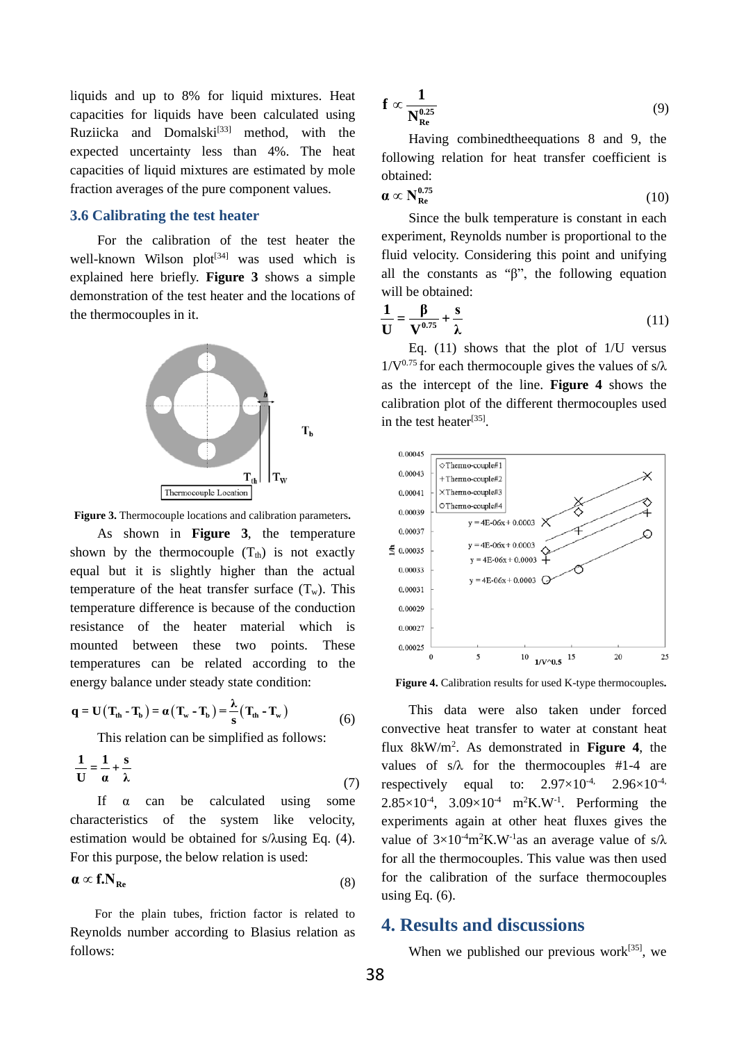liquids and up to 8% for liquid mixtures. Heat capacities for liquids have been calculated using  $Rxiicka$  and  $Domalski^{[33]}$  method, with the expected uncertainty less than 4%. The heat capacities of liquid mixtures are estimated by mole fraction averages of the pure component values.

## **3.6 Calibrating the test heater**

For the calibration of the test heater the well-known Wilson plot<sup>[34]</sup> was used which is explained here briefly. **Figure 3** shows a simple demonstration of the test heater and the locations of the thermocouples in it.



**Figure 3.** Thermocouple locations and calibration parameters**.**

As shown in **Figure 3**, the temperature shown by the thermocouple  $(T<sub>th</sub>)$  is not exactly equal but it is slightly higher than the actual temperature of the heat transfer surface  $(T_w)$ . This temperature difference is because of the conduction resistance of the heater material which is mounted between these two points. These temperatures can be related according to the energy balance under steady state condition:

$$
\mathbf{q} = \mathbf{U}(\mathbf{T}_{th} - \mathbf{T}_{b}) = \alpha(\mathbf{T}_{w} - \mathbf{T}_{b}) = \frac{\lambda}{s}(\mathbf{T}_{th} - \mathbf{T}_{w})
$$
\n<sup>(6)</sup>

This relation can be simplified as follows:

$$
\frac{1}{U} = \frac{1}{\alpha} + \frac{s}{\lambda} \tag{7}
$$

If  $\alpha$  can be calculated using some characteristics of the system like velocity, estimation would be obtained for s/λusing Eq. (4). For this purpose, the below relation is used:

$$
\mathbf{a} \propto \mathbf{f}.\mathbf{N}_{\mathbf{Re}} \tag{8}
$$

For the plain tubes, friction factor is related to Reynolds number according to Blasius relation as follows:

$$
\mathbf{f} \propto \frac{1}{\mathbf{N}_{\mathrm{Re}}^{0.25}} \tag{9}
$$

Having combinedtheequations 8 and 9, the following relation for heat transfer coefficient is obtained:

$$
\boldsymbol{\alpha} \propto \mathbf{N}_{\mathbf{Re}}^{0.75} \tag{10}
$$

Since the bulk temperature is constant in each experiment, Reynolds number is proportional to the fluid velocity. Considering this point and unifying all the constants as "β", the following equation will be obtained:

$$
\frac{1}{U} = \frac{\beta}{V^{0.75}} + \frac{s}{\lambda} \tag{11}
$$

Eq. (11) shows that the plot of 1/U versus  $1/\mathbf{V}^{0.75}$  for each thermocouple gives the values of s/ $\lambda$ as the intercept of the line. **Figure 4** shows the calibration plot of the different thermocouples used in the test heater<sup>[35]</sup>.



**Figure 4.** Calibration results for used K-type thermocouples**.**

This data were also taken under forced convective heat transfer to water at constant heat flux 8kW/m2 . As demonstrated in **Figure 4**, the values of  $s/\lambda$  for the thermocouples #1-4 are respectively equal to:  $2.97\times10^{-4}$ ,  $2.96\times10^{-4}$ ,  $2.85 \times 10^{-4}$ ,  $3.09 \times 10^{-4}$  m<sup>2</sup>K.W<sup>-1</sup>. Performing the experiments again at other heat fluxes gives the value of  $3\times10^{-4}$ m<sup>2</sup>K.W<sup>-1</sup>as an average value of s/ $\lambda$ for all the thermocouples. This value was then used for the calibration of the surface thermocouples using Eq.  $(6)$ .

# **4. Results and discussions**

When we published our previous work $[35]$ , we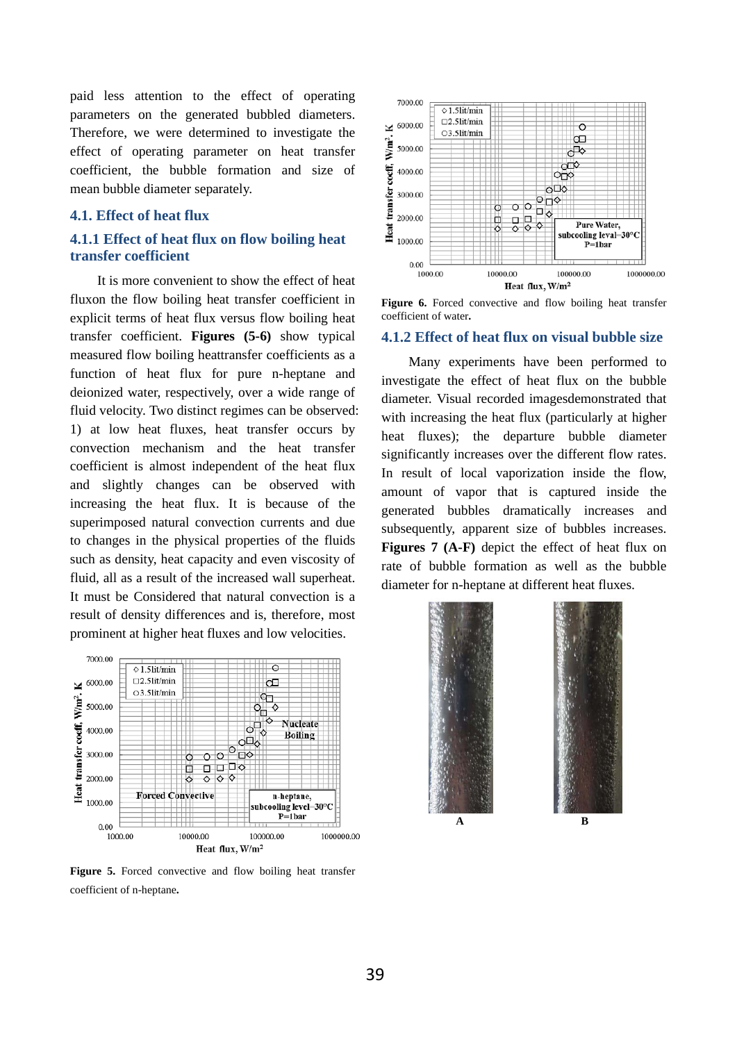paid less attention to the effect of operating parameters on the generated bubbled diameters. Therefore, we were determined to investigate the effect of operating parameter on heat transfer coefficient, the bubble formation and size of mean bubble diameter separately.

### **4.1. Effect of heat flux**

### **4.1.1 Effect of heat flux on flow boiling heat transfer coefficient**

It is more convenient to show the effect of heat fluxon the flow boiling heat transfer coefficient in explicit terms of heat flux versus flow boiling heat transfer coefficient. **Figures (5-6)** show typical measured flow boiling heattransfer coefficients as a function of heat flux for pure n-heptane and deionized water, respectively, over a wide range of fluid velocity. Two distinct regimes can be observed: 1) at low heat fluxes, heat transfer occurs by convection mechanism and the heat transfer coefficient is almost independent of the heat flux and slightly changes can be observed with increasing the heat flux. It is because of the superimposed natural convection currents and due to changes in the physical properties of the fluids such as density, heat capacity and even viscosity of fluid, all as a result of the increased wall superheat. It must be Considered that natural convection is a result of density differences and is, therefore, most prominent at higher heat fluxes and low velocities.



**Figure 5.** Forced convective and flow boiling heat transfer coefficient of n-heptane**.**



**Figure 6.** Forced convective and flow boiling heat transfer coefficient of water**.**

#### **4.1.2 Effect of heat flux on visual bubble size**

Many experiments have been performed to investigate the effect of heat flux on the bubble diameter. Visual recorded imagesdemonstrated that with increasing the heat flux (particularly at higher heat fluxes); the departure bubble diameter significantly increases over the different flow rates. In result of local vaporization inside the flow, amount of vapor that is captured inside the generated bubbles dramatically increases and subsequently, apparent size of bubbles increases. **Figures 7 (A-F)** depict the effect of heat flux on rate of bubble formation as well as the bubble diameter for n-heptane at different heat fluxes.

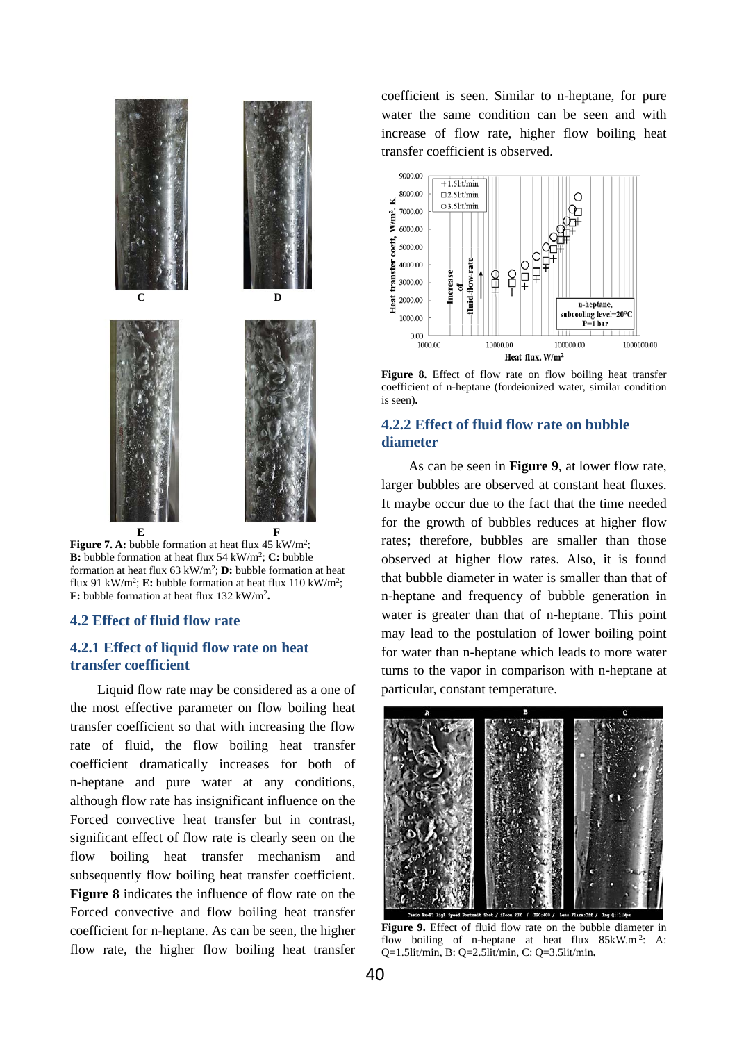

**Figure 7. A:** bubble formation at heat flux 45 kW/m<sup>2</sup>; **B:** bubble formation at heat flux 54 kW/m2; **C:** bubble formation at heat flux 63 kW/m2; **D:** bubble formation at heat flux 91 kW/m<sup>2</sup>; **E:** bubble formation at heat flux 110 kW/m<sup>2</sup>; **F:** bubble formation at heat flux 132 kW/m2**.**

#### **4.2 Effect of fluid flow rate**

## **4.2.1 Effect of liquid flow rate on heat transfer coefficient**

Liquid flow rate may be considered as a one of the most effective parameter on flow boiling heat transfer coefficient so that with increasing the flow rate of fluid, the flow boiling heat transfer coefficient dramatically increases for both of n-heptane and pure water at any conditions, although flow rate has insignificant influence on the Forced convective heat transfer but in contrast, significant effect of flow rate is clearly seen on the flow boiling heat transfer mechanism and subsequently flow boiling heat transfer coefficient. **Figure 8** indicates the influence of flow rate on the Forced convective and flow boiling heat transfer coefficient for n-heptane. As can be seen, the higher flow rate, the higher flow boiling heat transfer

coefficient is seen. Similar to n-heptane, for pure water the same condition can be seen and with increase of flow rate, higher flow boiling heat transfer coefficient is observed.



**Figure 8.** Effect of flow rate on flow boiling heat transfer coefficient of n-heptane (fordeionized water, similar condition is seen)**.**

## **4.2.2 Effect of fluid flow rate on bubble diameter**

As can be seen in **Figure 9**, at lower flow rate, larger bubbles are observed at constant heat fluxes. It maybe occur due to the fact that the time needed for the growth of bubbles reduces at higher flow rates; therefore, bubbles are smaller than those observed at higher flow rates. Also, it is found that bubble diameter in water is smaller than that of n-heptane and frequency of bubble generation in water is greater than that of n-heptane. This point may lead to the postulation of lower boiling point for water than n-heptane which leads to more water turns to the vapor in comparison with n-heptane at particular, constant temperature.



**Figure 9.** Effect of fluid flow rate on the bubble diameter in flow boiling of n-heptane at heat flux 85kW.m<sup>-2</sup>: A: Q=1.5lit/min, B: Q=2.5lit/min, C: Q=3.5lit/min**.**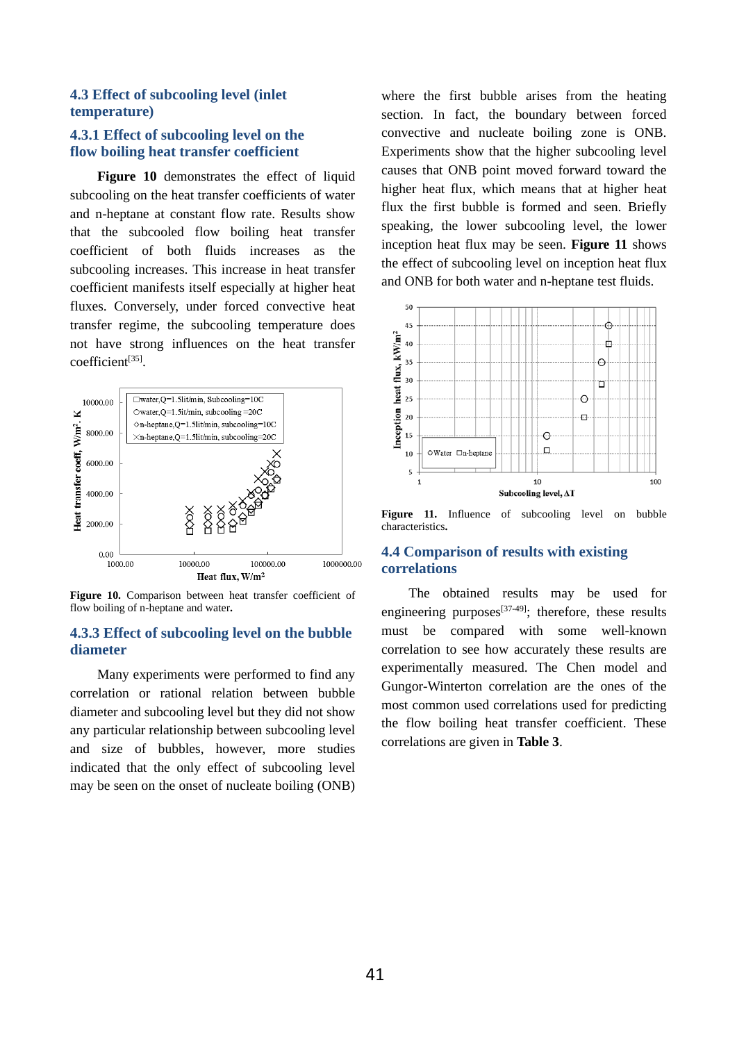## **4.3 Effect of subcooling level (inlet temperature)**

## **4.3.1 Effect of subcooling level on the flow boiling heat transfer coefficient**

**Figure 10** demonstrates the effect of liquid subcooling on the heat transfer coefficients of water and n-heptane at constant flow rate. Results show that the subcooled flow boiling heat transfer coefficient of both fluids increases as the subcooling increases. This increase in heat transfer coefficient manifests itself especially at higher heat fluxes. Conversely, under forced convective heat transfer regime, the subcooling temperature does not have strong influences on the heat transfer coefficient[35].



**Figure 10.** Comparison between heat transfer coefficient of flow boiling of n-heptane and water**.**

# **4.3.3 Effect of subcooling level on the bubble diameter**

Many experiments were performed to find any correlation or rational relation between bubble diameter and subcooling level but they did not show any particular relationship between subcooling level and size of bubbles, however, more studies indicated that the only effect of subcooling level may be seen on the onset of nucleate boiling (ONB)

where the first bubble arises from the heating section. In fact, the boundary between forced convective and nucleate boiling zone is ONB. Experiments show that the higher subcooling level causes that ONB point moved forward toward the higher heat flux, which means that at higher heat flux the first bubble is formed and seen. Briefly speaking, the lower subcooling level, the lower inception heat flux may be seen. **Figure 11** shows the effect of subcooling level on inception heat flux and ONB for both water and n-heptane test fluids.



**Figure 11.** Influence of subcooling level on bubble characteristics**.**

### **4.4 Comparison of results with existing correlations**

The obtained results may be used for engineering purposes $[37-49]$ ; therefore, these results must be compared with some well-known correlation to see how accurately these results are experimentally measured. The Chen model and Gungor-Winterton correlation are the ones of the most common used correlations used for predicting the flow boiling heat transfer coefficient. These correlations are given in **Table 3**.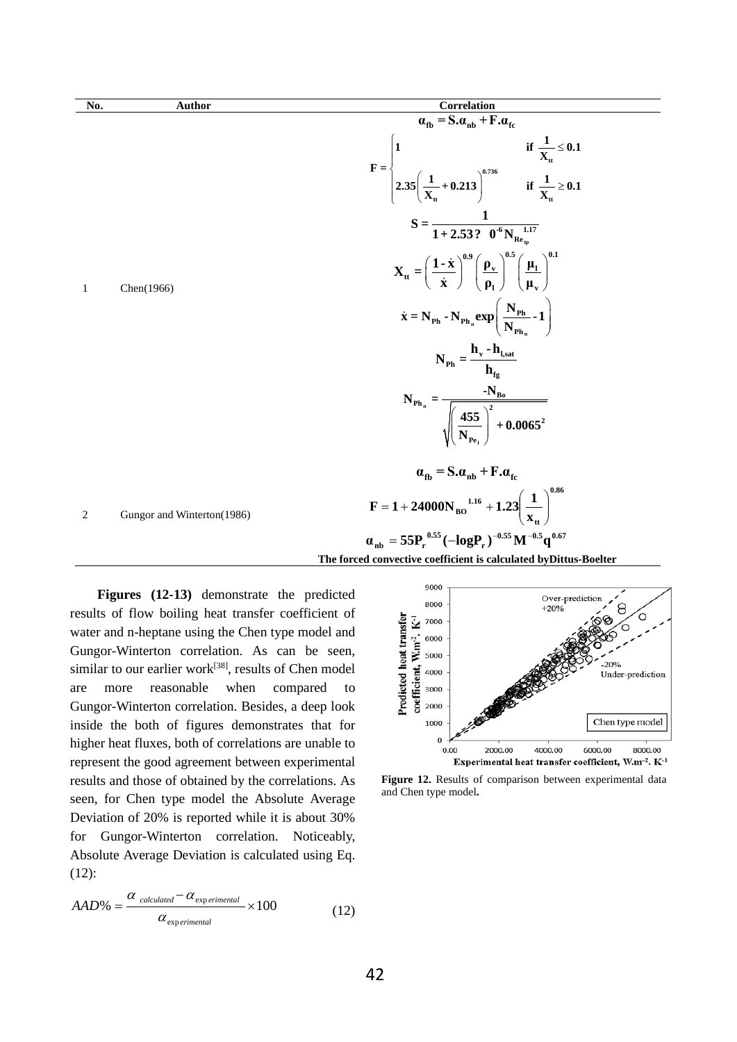1 Chen(1966)

**No. Author Correlation**

**The forced convective coefficient is calculated byDittus-Boelter** 1<br>  $\frac{1}{x_{\rm t}} \le$ <br>  $2.35 \left( \frac{1}{x_{\rm t}} + 0.213 \right)^{0.736}$  if  $\frac{1}{x_{\rm t}} \ge$ **tt tt 1**  $\frac{1}{X_{tt}} + 0.213$  if  $\frac{1}{X_{tt}} \ge 0.1$ **tp**  ${\rm T^{6} N_{Re_{\rm tp}}^{-1.17}}$  $S = \frac{1}{1.2533}$  $1 + 2.53$ ?  $0^{\circ}$ N  $\left(\frac{1-\dot{x}}{\dot{x}}\right)^{0.9} \left(\frac{\rho_{v}}{\rho_{1}}\right)^{0.5} \left(\frac{\mu_{1}}{\mu_{v}}\right)^{0.1}$  $\mathbf{X}_{tt} = \left(\frac{1-\dot{\mathbf{x}}}{\dot{\mathbf{x}}}\right)^{0.5} \left(\frac{\mathbf{p}_{v}}{2}\right)^{1.5} \left(\frac{\mathbf{\mu}_{t}}{\mathbf{p}_{t}}\right)^{1.5}$  $1 / \sqrt{\mu_v}$  $\dot{\mathbf{x}}$  )  $(\mathbf{p}_1)$   $(\mathbf{\mu})$  $\dot{\mathbf{x}}$  $\dot{\mathbf{x}}$  $\left(\frac{N_{\rm Ph}}{N}\cdot 1\right)$  $\sum_{\bf{h}}^{\bf{n}}$   $\left(\mathbf{N}_{\mathbf{h}_{\bf{n}}}$   $\right)$ **n**  $\mathbf{P_h} \cdot \mathbf{N_{Ph}} \cdot \exp\left(-\frac{\mathbf{N} \cdot \mathbf{P_h}}{\mathbf{N}}\right)$  $\dot{\mathbf{x}} = \mathbf{N}_{\text{Ph}} \cdot \mathbf{N}_{\text{Ph}_{n}} \exp\left(\frac{\mathbf{N}_{\text{Ph}}}{\mathbf{N}_{\text{Ph}_{n}}} \cdot \mathbf{1}\right)$  $v$  **<sup>11</sup>, sat Ph fg h -h**  $N_{\rm Ph}$  = **h** <sup>n</sup>  $\sqrt{\left(\frac{455}{N_{P_{e_1}}}\right)}$ **l**  $\mathbf{Ph}_{n} = \frac{P_{\mathbf{B}0}}{\sqrt{2}}$ **2 Pe**  $N_{\rm Ph} = \frac{-N}{\sqrt{N}}$  $\frac{455}{N}$  + 0.0065 **N**  $\alpha_{\text{fb}} = S \cdot \alpha_{\text{nb}} + F \cdot \alpha_{\text{fc}}$ **0.86 tt 1.16**  $\mathbf{F} = 1 + 24000 \mathbf{N}_{\text{BO}}^{1.16} + 1.23 \left( \frac{1}{\mathbf{x}_{\text{tt}}} \right)$  $\bigg)$  $\left( \right)$  $\overline{\phantom{a}}$  $\overline{\phantom{0}}$  $= 1 + 24000N_{\text{RO}}^{1.16} + 1.23$  $\mathbf{H}^{-0.55}_{\rm r} \mathbf{M}^{-0.5} \mathbf{q}^{0.67}$  $\alpha_{\rm nb} = 55P_{\rm r}^{0.55}(-\log P_{\rm r})^{-0.55}M^{-0.5}q$ 

 $\alpha_{\text{fb}} = S \cdot \alpha_{\text{nb}} + F \cdot \alpha_{\text{fc}}$ 

**F =**

**0.736**

**1 if**  $\frac{1}{X_{tt}} \le 0.1$ 

**tt**

2 Gungor and Winterton(1986)

**Figures (12-13)** demonstrate the predicted results of flow boiling heat transfer coefficient of water and n-heptane using the Chen type model and Gungor-Winterton correlation. As can be seen, similar to our earlier work<sup>[38]</sup>, results of Chen model are more reasonable when compared to Gungor-Winterton correlation. Besides, a deep look inside the both of figures demonstrates that for higher heat fluxes, both of correlations are unable to represent the good agreement between experimental results and those of obtained by the correlations. As seen, for Chen type model the Absolute Average Deviation of 20% is reported while it is about 30% for Gungor-Winterton correlation. Noticeably, Absolute Average Deviation is calculated using Eq. (12):

$$
AAD\% = \frac{\alpha_{\text{ calculated}} - \alpha_{\text{experimental}}}{\alpha_{\text{experimental}}} \times 100 \tag{12}
$$



**Figure 12.** Results of comparison between experimental data and Chen type model**.**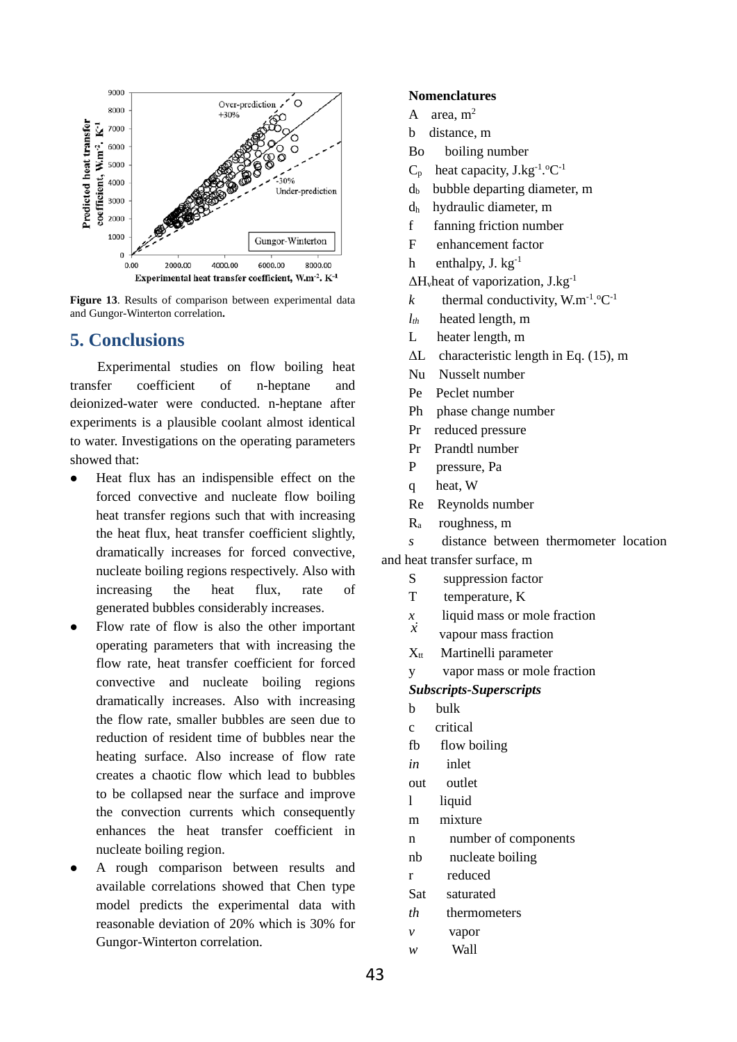

**Figure 13**. Results of comparison between experimental data and Gungor-Winterton correlation**.**

# **5. Conclusions**

Experimental studies on flow boiling heat transfer coefficient of n-heptane and deionized-water were conducted. n-heptane after experiments is a plausible coolant almost identical to water. Investigations on the operating parameters showed that:

- Heat flux has an indispensible effect on the forced convective and nucleate flow boiling heat transfer regions such that with increasing the heat flux, heat transfer coefficient slightly, dramatically increases for forced convective, nucleate boiling regions respectively. Also with increasing the heat flux, rate of generated bubbles considerably increases.
- Flow rate of flow is also the other important operating parameters that with increasing the flow rate, heat transfer coefficient for forced convective and nucleate boiling regions dramatically increases. Also with increasing the flow rate, smaller bubbles are seen due to reduction of resident time of bubbles near the heating surface. Also increase of flow rate creates a chaotic flow which lead to bubbles to be collapsed near the surface and improve the convection currents which consequently enhances the heat transfer coefficient in nucleate boiling region.
- A rough comparison between results and available correlations showed that Chen type model predicts the experimental data with reasonable deviation of 20% which is 30% for Gungor-Winterton correlation.

## **Nomenclatures**

- A area,  $m<sup>2</sup>$
- b distance, m
- Bo boiling number
- $C_p$  heat capacity, J.kg<sup>-1</sup>.<sup>o</sup>C<sup>-1</sup>
- $d_b$  bubble departing diameter, m
- dh hydraulic diameter, m
- f fanning friction number
- F enhancement factor
- h enthalpy, J.  $kg^{-1}$
- $\Delta H$ <sub>v</sub>heat of vaporization,  $J.kg^{-1}$
- *k* thermal conductivity,  $W.m^{-1}.°C^{-1}$
- *lth* heated length, m
- L heater length, m
- ΔL characteristic length in Eq. (15), m
- Nu Nusselt number
- Pe Peclet number
- Ph phase change number
- Pr reduced pressure
- Pr Prandtl number
- P pressure, Pa
- q heat, W
- Re Reynolds number
- Ra roughness, m

*s* distance between thermometer location

- and heat transfer surface, m
	- S suppression factor
	- T temperature, K
	- $\frac{x}{\dot{x}}$  liquid mass or mole fraction
	- *x* vapour mass fraction
	- $X<sub>tt</sub>$  Martinelli parameter
	- y vapor mass or mole fraction
	- *Subscripts-Superscripts*
	- b bulk
	- c critical
	- fb flow boiling
	- *in* inlet
	- out outlet
	- l liquid
	- m mixture
	- n number of components
	- nb nucleate boiling
	- r reduced
	- Sat saturated
	- *th* thermometers
	- *v* vapor
	- *w* Wall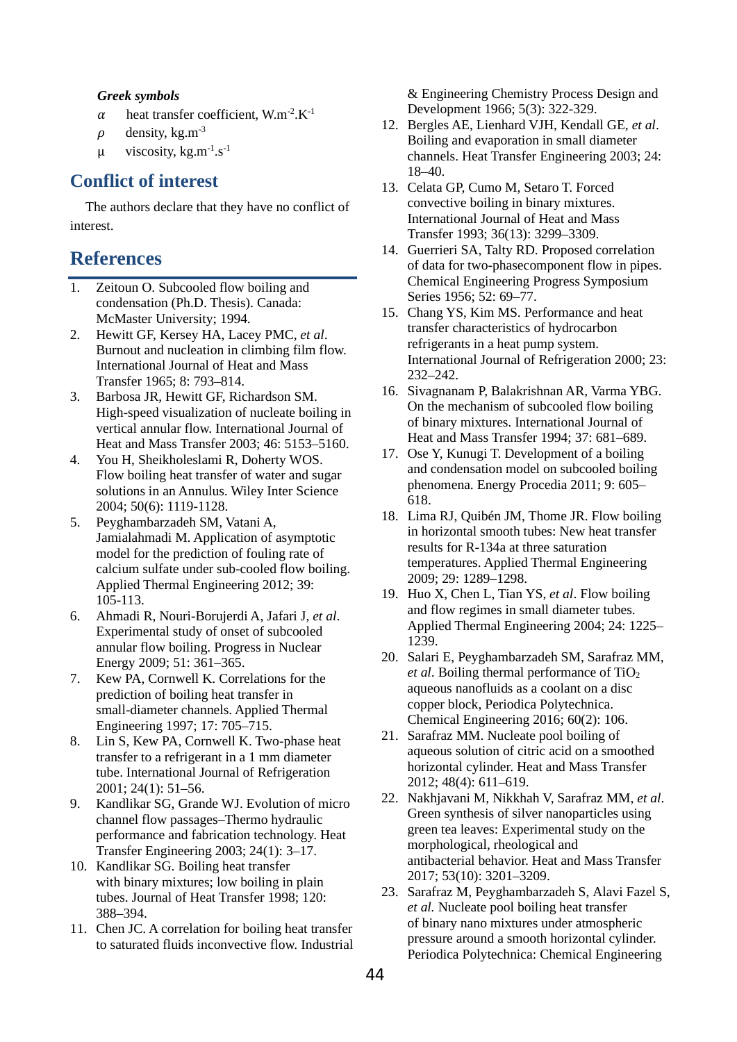#### *Greek symbols*

- $\alpha$  heat transfer coefficient, W.m<sup>-2</sup>.K<sup>-1</sup>
- $\rho$  density, kg.m<sup>-3</sup>
- $\mu$  viscosity, kg.m<sup>-1</sup>.s<sup>-1</sup>

# **Conflict of interest**

The authors declare that they have no conflict of interest.

# **References**

- 1. Zeitoun O. Subcooled flow boiling and condensation (Ph.D. Thesis). Canada: McMaster University; 1994.
- 2. Hewitt GF, Kersey HA, Lacey PMC, *et al*. Burnout and nucleation in climbing film flow. International Journal of Heat and Mass Transfer 1965; 8: 793–814.
- 3. Barbosa JR, Hewitt GF, Richardson SM. High-speed visualization of nucleate boiling in vertical annular flow. International Journal of Heat and Mass Transfer 2003; 46: 5153–5160.
- 4. You H, Sheikholeslami R, Doherty WOS. Flow boiling heat transfer of water and sugar solutions in an Annulus. Wiley Inter Science 2004; 50(6): 1119-1128.
- 5. Peyghambarzadeh SM, Vatani A, Jamialahmadi M. Application of asymptotic model for the prediction of fouling rate of calcium sulfate under sub-cooled flow boiling. Applied Thermal Engineering 2012; 39: 105-113.
- 6. Ahmadi R, Nouri-Borujerdi A, Jafari J, *et al*. Experimental study of onset of subcooled annular flow boiling. Progress in Nuclear Energy 2009; 51: 361–365.
- 7. Kew PA, Cornwell K. Correlations for the prediction of boiling heat transfer in small-diameter channels. Applied Thermal Engineering 1997; 17: 705–715.
- 8. Lin S, Kew PA, Cornwell K. Two-phase heat transfer to a refrigerant in a 1 mm diameter tube. International Journal of Refrigeration 2001; 24(1): 51–56.
- 9. Kandlikar SG, Grande WJ. Evolution of micro channel flow passages–Thermo hydraulic performance and fabrication technology. Heat Transfer Engineering 2003; 24(1): 3–17.
- 10. Kandlikar SG. Boiling heat transfer with binary mixtures; low boiling in plain tubes. Journal of Heat Transfer 1998; 120: 388–394.
- 11. Chen JC. A correlation for boiling heat transfer to saturated fluids inconvective flow. Industrial

& Engineering Chemistry Process Design and Development 1966; 5(3): 322-329.

- 12. Bergles AE, Lienhard VJH, Kendall GE, *et al*. Boiling and evaporation in small diameter channels. Heat Transfer Engineering 2003; 24: 18–40.
- 13. Celata GP, Cumo M, Setaro T. Forced convective boiling in binary mixtures. International Journal of Heat and Mass Transfer 1993; 36(13): 3299–3309.
- 14. Guerrieri SA, Talty RD. Proposed correlation of data for two-phasecomponent flow in pipes. Chemical Engineering Progress Symposium Series 1956; 52: 69–77.
- 15. Chang YS, Kim MS. Performance and heat transfer characteristics of hydrocarbon refrigerants in a heat pump system. International Journal of Refrigeration 2000; 23: 232–242.
- 16. Sivagnanam P, Balakrishnan AR, Varma YBG. On the mechanism of subcooled flow boiling of binary mixtures. International Journal of Heat and Mass Transfer 1994; 37: 681–689.
- 17. Ose Y, Kunugi T. Development of a boiling and condensation model on subcooled boiling phenomena. Energy Procedia 2011; 9: 605– 618.
- 18. Lima RJ, Quibén JM, Thome JR. Flow boiling in horizontal smooth tubes: New heat transfer results for R-134a at three saturation temperatures. Applied Thermal Engineering 2009; 29: 1289–1298.
- 19. Huo X, Chen L, Tian YS, *et al*. Flow boiling and flow regimes in small diameter tubes. Applied Thermal Engineering 2004; 24: 1225– 1239.
- 20. Salari E, Peyghambarzadeh SM, Sarafraz MM, *et al.* Boiling thermal performance of TiO<sub>2</sub> aqueous nanofluids as a coolant on a disc copper block, Periodica Polytechnica. Chemical Engineering 2016; 60(2): 106.
- 21. Sarafraz MM. Nucleate pool boiling of aqueous solution of citric acid on a smoothed horizontal cylinder. Heat and Mass Transfer 2012; 48(4): 611–619.
- 22. Nakhjavani M, Nikkhah V, Sarafraz MM, *et al*. Green synthesis of silver nanoparticles using green tea leaves: Experimental study on the morphological, rheological and antibacterial behavior. Heat and Mass Transfer 2017; 53(10): 3201–3209.
- 23. Sarafraz M, Peyghambarzadeh S, Alavi Fazel S, *et al.* Nucleate pool boiling heat transfer of binary nano mixtures under atmospheric pressure around a smooth horizontal cylinder. Periodica Polytechnica: Chemical Engineering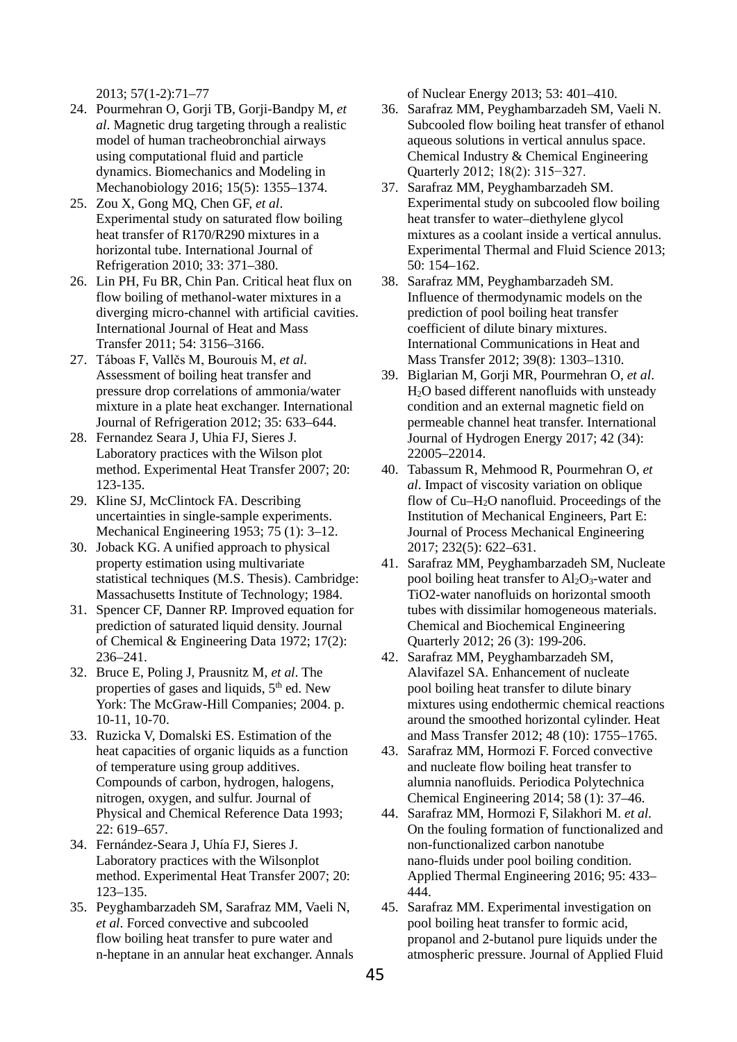2013; 57(1-2):71–77

- 24. Pourmehran O, Gorji TB, Gorji-Bandpy M, *et al*. Magnetic drug targeting through a realistic model of human tracheobronchial airways using computational fluid and particle dynamics. Biomechanics and Modeling in Mechanobiology 2016; 15(5): 1355–1374.
- 25. Zou X, Gong MQ, Chen GF, *et al*. Experimental study on saturated flow boiling heat transfer of R170/R290 mixtures in a horizontal tube. International Journal of Refrigeration 2010; 33: 371–380.
- 26. Lin PH, Fu BR, Chin Pan. Critical heat flux on flow boiling of methanol-water mixtures in a diverging micro-channel with artificial cavities. International Journal of Heat and Mass Transfer 2011; 54: 3156–3166.
- 27. Táboas F, Vallčs M, Bourouis M, *et al*. Assessment of boiling heat transfer and pressure drop correlations of ammonia/water mixture in a plate heat exchanger. International Journal of Refrigeration 2012; 35: 633–644.
- 28. Fernandez Seara J, Uhia FJ, Sieres J. Laboratory practices with the Wilson plot method. Experimental Heat Transfer 2007; 20: 123-135.
- 29. Kline SJ, McClintock FA. Describing uncertainties in single-sample experiments. Mechanical Engineering 1953; 75 (1): 3–12.
- 30. Joback KG. A unified approach to physical property estimation using multivariate statistical techniques (M.S. Thesis). Cambridge: Massachusetts Institute of Technology; 1984.
- 31. Spencer CF, Danner RP. Improved equation for prediction of saturated liquid density. Journal of Chemical & Engineering Data 1972; 17(2): 236–241.
- 32. Bruce E, Poling J, Prausnitz M, *et al*. The properties of gases and liquids, 5<sup>th</sup> ed. New York: The McGraw-Hill Companies; 2004. p. 10-11, 10-70.
- 33. Ruzicka V, Domalski ES. Estimation of the heat capacities of organic liquids as a function of temperature using group additives. Compounds of carbon, hydrogen, halogens, nitrogen, oxygen, and sulfur. Journal of Physical and Chemical Reference Data 1993; 22: 619–657.
- 34. Fernández-Seara J, Uhía FJ, Sieres J. Laboratory practices with the Wilsonplot method. Experimental Heat Transfer 2007; 20: 123–135.
- 35. Peyghambarzadeh SM, Sarafraz MM, Vaeli N, *et al*. Forced convective and subcooled flow boiling heat transfer to pure water and n-heptane in an annular heat exchanger. Annals

of Nuclear Energy 2013; 53: 401–410.

- 36. Sarafraz MM, Peyghambarzadeh SM, Vaeli N. Subcooled flow boiling heat transfer of ethanol aqueous solutions in vertical annulus space. Chemical Industry & Chemical Engineering Quarterly 2012; 18(2): 315−327.
- 37. Sarafraz MM, Peyghambarzadeh SM. Experimental study on subcooled flow boiling heat transfer to water–diethylene glycol mixtures as a coolant inside a vertical annulus. Experimental Thermal and Fluid Science 2013; 50: 154–162.
- 38. Sarafraz MM, Peyghambarzadeh SM. Influence of thermodynamic models on the prediction of pool boiling heat transfer coefficient of dilute binary mixtures. International Communications in Heat and Mass Transfer 2012; 39(8): 1303–1310.
- 39. Biglarian M, Gorji MR, Pourmehran O, *et al*. H2O based different nanofluids with unsteady condition and an external magnetic field on permeable channel heat transfer. International Journal of Hydrogen Energy 2017; 42 (34): 22005–22014.
- 40. Tabassum R, Mehmood R, Pourmehran O, *et al*. Impact of viscosity variation on oblique flow of Cu–H2O nanofluid. Proceedings of the Institution of Mechanical Engineers, Part E: Journal of Process Mechanical Engineering 2017; 232(5): 622–631.
- 41. Sarafraz MM, Peyghambarzadeh SM, Nucleate pool boiling heat transfer to  $Al_2O_3$ -water and TiO2-water nanofluids on horizontal smooth tubes with dissimilar homogeneous materials. Chemical and Biochemical Engineering Quarterly 2012; 26 (3): 199-206.
- 42. Sarafraz MM, Peyghambarzadeh SM, Alavifazel SA. Enhancement of nucleate pool boiling heat transfer to dilute binary mixtures using endothermic chemical reactions around the smoothed horizontal cylinder. Heat and Mass Transfer 2012; 48 (10): 1755–1765.
- 43. Sarafraz MM, Hormozi F. Forced convective and nucleate flow boiling heat transfer to alumnia nanofluids. Periodica Polytechnica Chemical Engineering 2014; 58 (1): 37–46.
- 44. Sarafraz MM, Hormozi F, Silakhori M. *et al.* On the fouling formation of functionalized and non-functionalized carbon nanotube nano-fluids under pool boiling condition. Applied Thermal Engineering 2016; 95: 433– 444.
- 45. Sarafraz MM. Experimental investigation on pool boiling heat transfer to formic acid, propanol and 2-butanol pure liquids under the atmospheric pressure. Journal of Applied Fluid